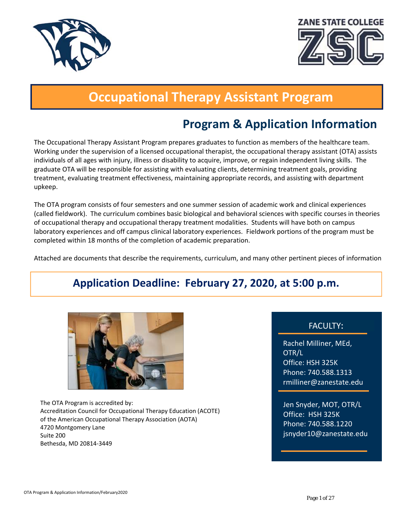



# **Occupational Therapy Assistant Program**

# **Program & Application Information**

 treatment, evaluating treatment effectiveness, maintaining appropriate records, and assisting with department The Occupational Therapy Assistant Program prepares graduates to function as members of the healthcare team. Working under the supervision of a licensed occupational therapist, the occupational therapy assistant (OTA) assists individuals of all ages with injury, illness or disability to acquire, improve, or regain independent living skills. The graduate OTA will be responsible for assisting with evaluating clients, determining treatment goals, providing upkeep.

The OTA program consists of four semesters and one summer session of academic work and clinical experiences (called fieldwork). The curriculum combines basic biological and behavioral sciences with specific courses in theories of occupational therapy and occupational therapy treatment modalities. Students will have both on campus laboratory experiences and off campus clinical laboratory experiences. Fieldwork portions of the program must be completed within 18 months of the completion of academic preparation.

Attached are documents that describe the requirements, curriculum, and many other pertinent pieces of information

# **Application Deadline: February 27, 2020, at 5:00 p.m.**



The OTA Program is accredited by: Accreditation Council for Occupational Therapy Education (ACOTE) of the American Occupational Therapy Association (AOTA) 4720 Montgomery Lane Suite 200 Bethesda, MD 20814‐3449

#### FACULTY:

Rachel Milliner, MEd, OTR/L Office: HSH 325K Phone: 740.588.1313 rmilliner@zanestate.edu

Jen Snyder, MOT, OTR/L Office: HSH 325K Phone: 740.588.1220 jsnyder10@zanestate.edu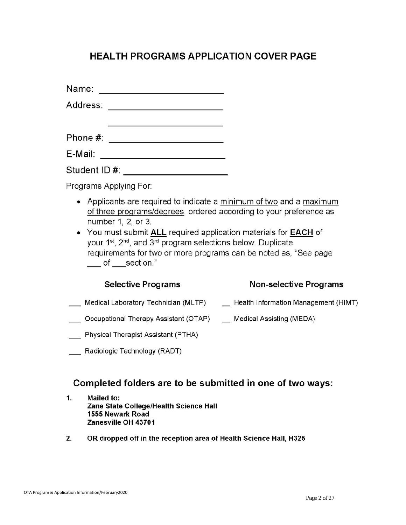## **HEALTH PROGRAMS APPLICATION COVER PAGE**

| Phone #: |  |
|----------|--|
|          |  |

| E-Mail: |  |
|---------|--|
|         |  |

Student ID #: New York 2014

Programs Applying For:

- Applicants are required to indicate a minimum of two and a maximum of three programs/degrees, ordered according to your preference as number 1, 2, or 3.
- You must submit ALL required application materials for EACH of your 1<sup>st</sup>, 2<sup>nd</sup>, and 3<sup>rd</sup> program selections below. Duplicate requirements for two or more programs can be noted as, "See page of section."

#### **Selective Programs**

#### Non-selective Programs

- Medical Laboratory Technician (MLTP) \_\_\_\_\_\_ Health Information Management (HIMT)
- Cocupational Therapy Assistant (OTAP) \_\_ Medical Assisting (MEDA)
- Physical Therapist Assistant (PTHA)
- Radiologic Technology (RADT)

### Completed folders are to be submitted in one of two ways:

- $1.$ Mailed to: Zane State College/Health Science Hall 1555 Newark Road Zanesville OH 43701
- 2. OR dropped off in the reception area of Health Science Hall, H325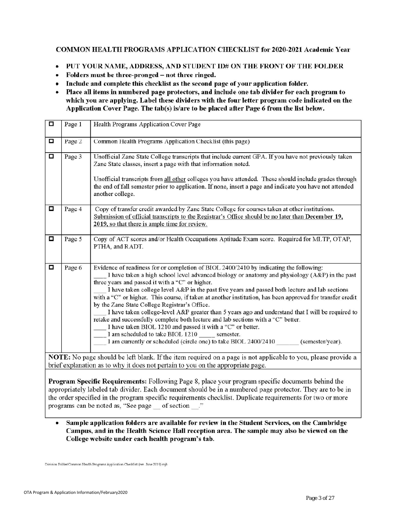#### **COMMON HEALTH PROGRAMS APPLICATION CHECKLIST for 2020-2021 Academic Year**

- PUT YOUR NAME, ADDRESS, AND STUDENT ID# ON THE FRONT OF THE FOLDER  $\bullet$
- Folders must be three-pronged not three ringed.  $\bullet$
- Include and complete this checklist as the second page of your application folder.
- Place all items in numbered page protectors, and include one tab divider for each program to  $\bullet$ which you are applying. Label these dividers with the four letter program code indicated on the Application Cover Page. The tab(s) is/are to be placed after Page 6 from the list below.

| □ | Page 1 | Health Programs Application Cover Page                                                                                                                                                                                                                                                                                                                                                                                                                                                                                                                                                                                                                                                                                                                                                                                                                                                                  |
|---|--------|---------------------------------------------------------------------------------------------------------------------------------------------------------------------------------------------------------------------------------------------------------------------------------------------------------------------------------------------------------------------------------------------------------------------------------------------------------------------------------------------------------------------------------------------------------------------------------------------------------------------------------------------------------------------------------------------------------------------------------------------------------------------------------------------------------------------------------------------------------------------------------------------------------|
| □ | Page 2 | Common Health Programs Application Checklist (this page)                                                                                                                                                                                                                                                                                                                                                                                                                                                                                                                                                                                                                                                                                                                                                                                                                                                |
| □ | Page 3 | Unofficial Zane State College transcripts that include current GPA. If you have not previously taken<br>Zane State classes, insert a page with that information noted.<br>Unofficial transcripts from all other colleges you have attended. These should include grades through<br>the end of fall semester prior to application. If none, insert a page and indicate you have not attended<br>another college.                                                                                                                                                                                                                                                                                                                                                                                                                                                                                         |
| □ | Page 4 | Copy of transfer credit awarded by Zane State College for courses taken at other institutions.<br>Submission of official transcripts to the Registrar's Office should be no later than December 19,<br>2019, so that there is ample time for review.                                                                                                                                                                                                                                                                                                                                                                                                                                                                                                                                                                                                                                                    |
| π | Page 5 | Copy of ACT scores and/or Health Occupations Aptitude Exam score. Required for MLTP, OTAP,<br>PTHA, and RADT.                                                                                                                                                                                                                                                                                                                                                                                                                                                                                                                                                                                                                                                                                                                                                                                           |
| □ | Page 6 | Evidence of readiness for or completion of BIOL 2400/2410 by indicating the following:<br>I have taken a high school level advanced biology or anatomy and physiology (A&P) in the past<br>three years and passed it with a "C" or higher.<br>I have taken college level A&P in the past five years and passed both lecture and lab sections<br>with a "C" or higher. This course, if taken at another institution, has been approved for transfer credit<br>by the Zane State College Registrar's Office.<br>I have taken college-level A&P greater than 5 years ago and understand that I will be required to<br>retake and successfully complete both lecture and lab sections with a "C" better.<br>I have taken BIOL 1210 and passed it with a "C" or better.<br>I am scheduled to take BIOL 1210 semester.<br>I am currently or scheduled (circle one) to take BIOL 2400/2410<br>(semester/year). |
|   |        | NOTE: No page should be left blank. If the item required on a page is not applicable to you, please provide a<br>brief explanation as to why it does not pertain to you on the appropriate page.                                                                                                                                                                                                                                                                                                                                                                                                                                                                                                                                                                                                                                                                                                        |

**Program Specific Requirements:** Following Page 8, place your program specific documents behind the appropriately labeled tab divider. Each document should be in a numbered page protector. They are to be in the order specified in the program specific requirements checklist. Duplicate requirements for two or more programs can be noted as, "See page of section".

Sample application folders are available for review in the Student Services, on the Cambridge  $\bullet$ Campus, and in the Health Science Hall reception area. The sample may also be viewed on the College website under each health program's tab.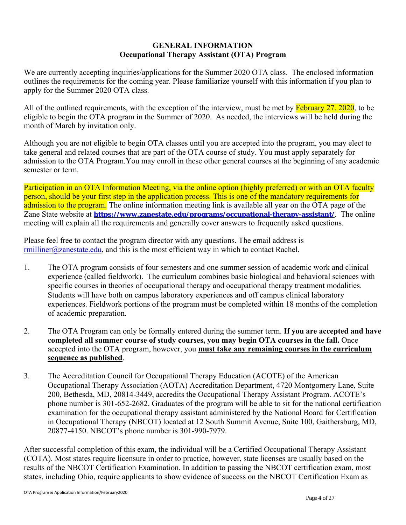#### **GENERAL INFORMATION Occupational Therapy Assistant (OTA) Program**

We are currently accepting inquiries/applications for the Summer 2020 OTA class. The enclosed information outlines the requirements for the coming year. Please familiarize yourself with this information if you plan to apply for the Summer 2020 OTA class.

All of the outlined requirements, with the exception of the interview, must be met by  $\frac{\text{February } 27, 2020}{\text{?}}$  to be eligible to begin the OTA program in the Summer of 2020. As needed, the interviews will be held during the month of March by invitation only.

Although you are not eligible to begin OTA classes until you are accepted into the program, you may elect to take general and related courses that are part of the OTA course of study. You must apply separately for admission to the OTA Program.You may enroll in these other general courses at the beginning of any academic semester or term.

Participation in an OTA Information Meeting, via the online option (highly preferred) or with an OTA faculty person, should be your first step in the application process. This is one of the mandatory requirements for admission to the program. The online information meeting link is available all year on the OTA page of the Zane State website at **https://www.zanestate.edu/programs/occupational-therapy-assistant/**. The online meeting will explain all the requirements and generally cover answers to frequently asked questions.

Please feel free to contact the program director with any questions. The email address is  $r$ milliner@zanestate.edu, and this is the most efficient way in which to contact Rachel.

- 1. The OTA program consists of four semesters and one summer session of academic work and clinical experience (called fieldwork). The curriculum combines basic biological and behavioral sciences with specific courses in theories of occupational therapy and occupational therapy treatment modalities. Students will have both on campus laboratory experiences and off campus clinical laboratory experiences. Fieldwork portions of the program must be completed within 18 months of the completion of academic preparation.
- 2. The OTA Program can only be formally entered during the summer term. **If you are accepted and have completed all summer course of study courses, you may begin OTA courses in the fall.** Once accepted into the OTA program, however, you **must take any remaining courses in the curriculum sequence as published**.
- 3. The Accreditation Council for Occupational Therapy Education (ACOTE) of the American Occupational Therapy Association (AOTA) Accreditation Department, 4720 Montgomery Lane, Suite 200, Bethesda, MD, 20814-3449, accredits the Occupational Therapy Assistant Program. ACOTE's phone number is 301-652-2682. Graduates of the program will be able to sit for the national certification examination for the occupational therapy assistant administered by the National Board for Certification in Occupational Therapy (NBCOT) located at 12 South Summit Avenue, Suite 100, Gaithersburg, MD, 20877-4150. NBCOT's phone number is 301-990-7979.

After successful completion of this exam, the individual will be a Certified Occupational Therapy Assistant (COTA). Most states require licensure in order to practice, however, state licenses are usually based on the results of the NBCOT Certification Examination. In addition to passing the NBCOT certification exam, most states, including Ohio, require applicants to show evidence of success on the NBCOT Certification Exam as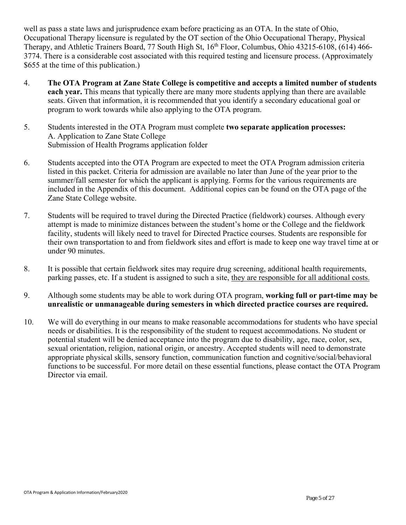well as pass a state laws and jurisprudence exam before practicing as an OTA. In the state of Ohio, Occupational Therapy licensure is regulated by the OT section of the Ohio Occupational Therapy, Physical Therapy, and Athletic Trainers Board, 77 South High St, 16<sup>th</sup> Floor, Columbus, Ohio 43215-6108, (614) 466-3774. There is a considerable cost associated with this required testing and licensure process. (Approximately \$655 at the time of this publication.)

- 4. **The OTA Program at Zane State College is competitive and accepts a limited number of students each year.** This means that typically there are many more students applying than there are available seats. Given that information, it is recommended that you identify a secondary educational goal or program to work towards while also applying to the OTA program.
- 5. Students interested in the OTA Program must complete **two separate application processes:**  A. Application to Zane State College Submission of Health Programs application folder
- 6. Students accepted into the OTA Program are expected to meet the OTA Program admission criteria listed in this packet. Criteria for admission are available no later than June of the year prior to the summer/fall semester for which the applicant is applying. Forms for the various requirements are included in the Appendix of this document. Additional copies can be found on the OTA page of the Zane State College website.
- 7. Students will be required to travel during the Directed Practice (fieldwork) courses. Although every attempt is made to minimize distances between the student's home or the College and the fieldwork facility, students will likely need to travel for Directed Practice courses. Students are responsible for their own transportation to and from fieldwork sites and effort is made to keep one way travel time at or under 90 minutes.
- 8. It is possible that certain fieldwork sites may require drug screening, additional health requirements, parking passes, etc. If a student is assigned to such a site, they are responsible for all additional costs.
- 9. Although some students may be able to work during OTA program, **working full or part-time may be unrealistic or unmanageable during semesters in which directed practice courses are required.**
- 10. We will do everything in our means to make reasonable accommodations for students who have special needs or disabilities. It is the responsibility of the student to request accommodations. No student or potential student will be denied acceptance into the program due to disability, age, race, color, sex, sexual orientation, religion, national origin, or ancestry. Accepted students will need to demonstrate appropriate physical skills, sensory function, communication function and cognitive/social/behavioral functions to be successful. For more detail on these essential functions, please contact the OTA Program Director via email.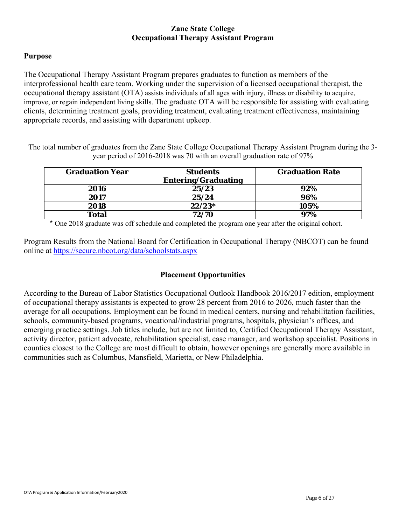#### **Zane State College Occupational Therapy Assistant Program**

#### **Purpose**

The Occupational Therapy Assistant Program prepares graduates to function as members of the interprofessional health care team. Working under the supervision of a licensed occupational therapist, the occupational therapy assistant (OTA) assists individuals of all ages with injury, illness or disability to acquire, improve, or regain independent living skills. The graduate OTA will be responsible for assisting with evaluating clients, determining treatment goals, providing treatment, evaluating treatment effectiveness, maintaining appropriate records, and assisting with department upkeep.

The total number of graduates from the Zane State College Occupational Therapy Assistant Program during the 3 year period of 2016-2018 was 70 with an overall graduation rate of 97%

| <b>Graduation Year</b> | <b>Students</b><br><b>Entering/Graduating</b> | <b>Graduation Rate</b> |
|------------------------|-----------------------------------------------|------------------------|
| 2016                   | 25/23                                         | 92%                    |
| 2017                   | 25/24                                         | 96%                    |
| 2018                   | $22/23*$                                      | 105%                   |
| <b>Total</b>           | 72/70                                         | 97%                    |

\* One 2018 graduate was off schedule and completed the program one year after the original cohort.

Program Results from the National Board for Certification in Occupational Therapy (NBCOT) can be found online at https://secure.nbcot.org/data/schoolstats.aspx

#### **Placement Opportunities**

According to the Bureau of Labor Statistics Occupational Outlook Handbook 2016/2017 edition, employment of occupational therapy assistants is expected to grow 28 percent from 2016 to 2026, much faster than the average for all occupations. Employment can be found in medical centers, nursing and rehabilitation facilities, schools, community-based programs, vocational/industrial programs, hospitals, physician's offices, and emerging practice settings. Job titles include, but are not limited to, Certified Occupational Therapy Assistant, activity director, patient advocate, rehabilitation specialist, case manager, and workshop specialist. Positions in counties closest to the College are most difficult to obtain, however openings are generally more available in communities such as Columbus, Mansfield, Marietta, or New Philadelphia.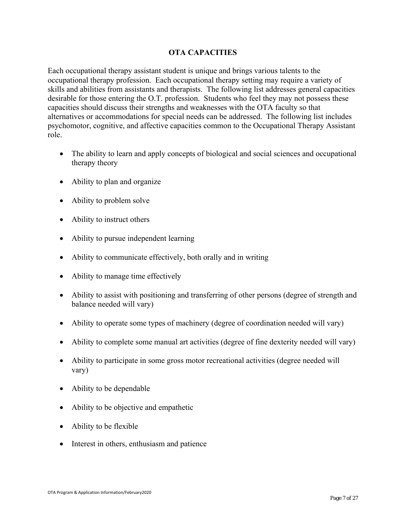#### **OTA CAPACITIES**

Each occupational therapy assistant student is unique and brings various talents to the occupational therapy profession. Each occupational therapy setting may require a variety of skills and abilities from assistants and therapists. The following list addresses general capacities desirable for those entering the O.T. profession. Students who feel they may not possess these capacities should discuss their strengths and weaknesses with the OTA faculty so that alternatives or accommodations for special needs can be addressed. The following list includes psychomotor, cognitive, and affective capacities common to the Occupational Therapy Assistant role.

- The ability to learn and apply concepts of biological and social sciences and occupational therapy theory
- Ability to plan and organize
- Ability to problem solve
- Ability to instruct others
- Ability to pursue independent learning
- Ability to communicate effectively, both orally and in writing
- Ability to manage time effectively
- Ability to assist with positioning and transferring of other persons (degree of strength and balance needed will vary)
- Ability to operate some types of machinery (degree of coordination needed will vary)
- Ability to complete some manual art activities (degree of fine dexterity needed will vary)
- Ability to participate in some gross motor recreational activities (degree needed will vary)
- Ability to be dependable
- Ability to be objective and empathetic
- Ability to be flexible
- Interest in others, enthusiasm and patience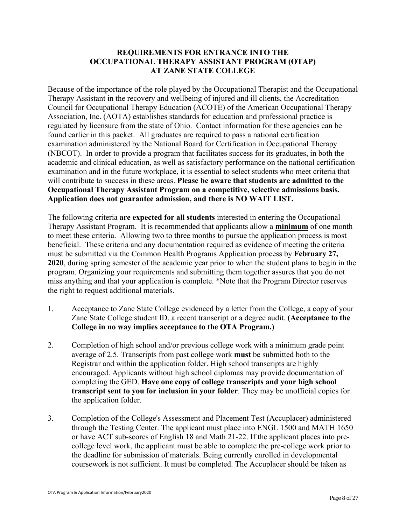#### **REQUIREMENTS FOR ENTRANCE INTO THE OCCUPATIONAL THERAPY ASSISTANT PROGRAM (OTAP) AT ZANE STATE COLLEGE**

Because of the importance of the role played by the Occupational Therapist and the Occupational Therapy Assistant in the recovery and wellbeing of injured and ill clients, the Accreditation Council for Occupational Therapy Education (ACOTE) of the American Occupational Therapy Association, Inc. (AOTA) establishes standards for education and professional practice is regulated by licensure from the state of Ohio. Contact information for these agencies can be found earlier in this packet. All graduates are required to pass a national certification examination administered by the National Board for Certification in Occupational Therapy (NBCOT). In order to provide a program that facilitates success for its graduates, in both the academic and clinical education, as well as satisfactory performance on the national certification examination and in the future workplace, it is essential to select students who meet criteria that will contribute to success in these areas. **Please be aware that students are admitted to the Occupational Therapy Assistant Program on a competitive, selective admissions basis. Application does not guarantee admission, and there is NO WAIT LIST.** 

The following criteria **are expected for all students** interested in entering the Occupational Therapy Assistant Program. It is recommended that applicants allow a **minimum** of one month to meet these criteria. Allowing two to three months to pursue the application process is most beneficial. These criteria and any documentation required as evidence of meeting the criteria must be submitted via the Common Health Programs Application process by **February 27, 2020**, during spring semester of the academic year prior to when the student plans to begin in the program. Organizing your requirements and submitting them together assures that you do not miss anything and that your application is complete. \*Note that the Program Director reserves the right to request additional materials.

- 1. Acceptance to Zane State College evidenced by a letter from the College, a copy of your Zane State College student ID, a recent transcript or a degree audit. **(Acceptance to the College in no way implies acceptance to the OTA Program.)**
- 2. Completion of high school and/or previous college work with a minimum grade point average of 2.5. Transcripts from past college work **must** be submitted both to the Registrar and within the application folder. High school transcripts are highly encouraged. Applicants without high school diplomas may provide documentation of completing the GED. **Have one copy of college transcripts and your high school transcript sent to you for inclusion in your folder**. They may be unofficial copies for the application folder.
- 3. Completion of the College's Assessment and Placement Test (Accuplacer) administered through the Testing Center. The applicant must place into ENGL 1500 and MATH 1650 or have ACT sub-scores of English 18 and Math 21-22. If the applicant places into precollege level work, the applicant must be able to complete the pre-college work prior to the deadline for submission of materials. Being currently enrolled in developmental coursework is not sufficient. It must be completed. The Accuplacer should be taken as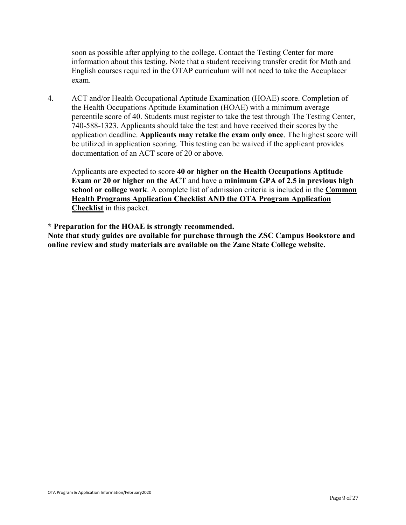soon as possible after applying to the college. Contact the Testing Center for more information about this testing. Note that a student receiving transfer credit for Math and English courses required in the OTAP curriculum will not need to take the Accuplacer exam.

4. ACT and/or Health Occupational Aptitude Examination (HOAE) score. Completion of the Health Occupations Aptitude Examination (HOAE) with a minimum average percentile score of 40. Students must register to take the test through The Testing Center, 740-588-1323. Applicants should take the test and have received their scores by the application deadline. **Applicants may retake the exam only once**. The highest score will be utilized in application scoring. This testing can be waived if the applicant provides documentation of an ACT score of 20 or above.

 Applicants are expected to score **40 or higher on the Health Occupations Aptitude Exam or 20 or higher on the ACT** and have a **minimum GPA of 2.5 in previous high school or college work**. A complete list of admission criteria is included in the **Common Health Programs Application Checklist AND the OTA Program Application Checklist** in this packet.

**\* Preparation for the HOAE is strongly recommended.** 

**Note that study guides are available for purchase through the ZSC Campus Bookstore and online review and study materials are available on the Zane State College website.**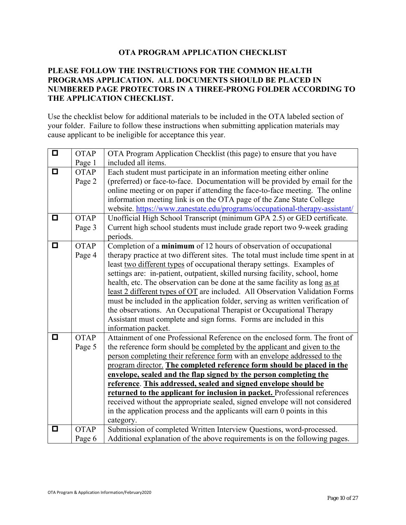#### **OTA PROGRAM APPLICATION CHECKLIST**

#### **PLEASE FOLLOW THE INSTRUCTIONS FOR THE COMMON HEALTH PROGRAMS APPLICATION. ALL DOCUMENTS SHOULD BE PLACED IN NUMBERED PAGE PROTECTORS IN A THREE-PRONG FOLDER ACCORDING TO THE APPLICATION CHECKLIST.**

Use the checklist below for additional materials to be included in the OTA labeled section of your folder. Failure to follow these instructions when submitting application materials may cause applicant to be ineligible for acceptance this year.

| $\Box$ | <b>OTAP</b> | OTA Program Application Checklist (this page) to ensure that you have            |
|--------|-------------|----------------------------------------------------------------------------------|
|        | Page 1      | included all items.                                                              |
| О      | <b>OTAP</b> | Each student must participate in an information meeting either online            |
|        | Page 2      | (preferred) or face-to-face. Documentation will be provided by email for the     |
|        |             | online meeting or on paper if attending the face-to-face meeting. The online     |
|        |             | information meeting link is on the OTA page of the Zane State College            |
|        |             | website. https://www.zanestate.edu/programs/occupational-therapy-assistant/      |
| О      | <b>OTAP</b> | Unofficial High School Transcript (minimum GPA 2.5) or GED certificate.          |
|        | Page 3      | Current high school students must include grade report two 9-week grading        |
|        |             | periods.                                                                         |
| ◘      | <b>OTAP</b> | Completion of a minimum of 12 hours of observation of occupational               |
|        | Page 4      | therapy practice at two different sites. The total must include time spent in at |
|        |             | least two different types of occupational therapy settings. Examples of          |
|        |             | settings are: in-patient, outpatient, skilled nursing facility, school, home     |
|        |             | health, etc. The observation can be done at the same facility as long as at      |
|        |             | least 2 different types of OT are included. All Observation Validation Forms     |
|        |             | must be included in the application folder, serving as written verification of   |
|        |             | the observations. An Occupational Therapist or Occupational Therapy              |
|        |             | Assistant must complete and sign forms. Forms are included in this               |
|        |             | information packet.                                                              |
| О      | <b>OTAP</b> | Attainment of one Professional Reference on the enclosed form. The front of      |
|        | Page 5      | the reference form should be completed by the applicant and given to the         |
|        |             | person completing their reference form with an envelope addressed to the         |
|        |             | program director. The completed reference form should be placed in the           |
|        |             | envelope, sealed and the flap signed by the person completing the                |
|        |             | reference. This addressed, sealed and signed envelope should be                  |
|        |             | returned to the applicant for inclusion in packet. Professional references       |
|        |             | received without the appropriate sealed, signed envelope will not considered     |
|        |             | in the application process and the applicants will earn 0 points in this         |
|        |             | category.                                                                        |
| О      | <b>OTAP</b> | Submission of completed Written Interview Questions, word-processed.             |
|        | Page 6      | Additional explanation of the above requirements is on the following pages.      |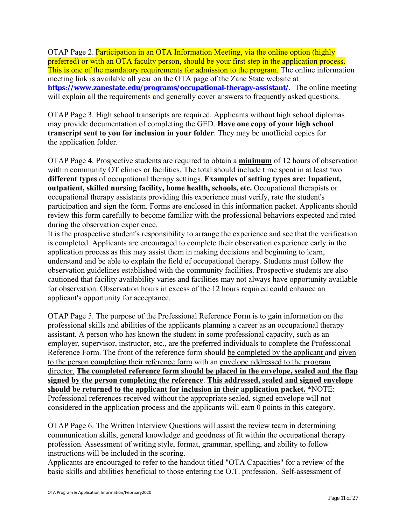OTAP Page 2. Participation in an OTA Information Meeting, via the online option (highly preferred) or with an OTA faculty person, should be your first step in the application process. This is one of the mandatory requirements for admission to the program. The online information meeting link is available all year on the OTA page of the Zane State website at **https://www.zanestate.edu/programs/occupational-therapy-assistant/**. The online meeting will explain all the requirements and generally cover answers to frequently asked questions.

OTAP Page 3. High school transcripts are required. Applicants without high school diplomas may provide documentation of completing the GED. **Have one copy of your high school transcript sent to you for inclusion in your folder**. They may be unofficial copies for the application folder.

OTAP Page 4. Prospective students are required to obtain a **minimum** of 12 hours of observation within community OT clinics or facilities. The total should include time spent in at least two **different types** of occupational therapy settings. **Examples of setting types are: Inpatient, outpatient, skilled nursing facility, home health, schools, etc.** Occupational therapists or occupational therapy assistants providing this experience must verify, rate the student's participation and sign the form. Forms are enclosed in this information packet. Applicants should review this form carefully to become familiar with the professional behaviors expected and rated during the observation experience.

It is the prospective student's responsibility to arrange the experience and see that the verification is completed. Applicants are encouraged to complete their observation experience early in the application process as this may assist them in making decisions and beginning to learn, understand and be able to explain the field of occupational therapy. Students must follow the observation guidelines established with the community facilities. Prospective students are also cautioned that facility availability varies and facilities may not always have opportunity available for observation. Observation hours in excess of the 12 hours required could enhance an applicant's opportunity for acceptance.

OTAP Page 5. The purpose of the Professional Reference Form is to gain information on the professional skills and abilities of the applicants planning a career as an occupational therapy assistant. A person who has known the student in some professional capacity, such as an employer, supervisor, instructor, etc., are the preferred individuals to complete the Professional Reference Form. The front of the reference form should be completed by the applicant and given to the person completing their reference form with an envelope addressed to the program director. **The completed reference form should be placed in the envelope, sealed and the flap signed by the person completing the reference**. **This addressed, sealed and signed envelope should be returned to the applicant for inclusion in their application packet.** \*NOTE: Professional references received without the appropriate sealed, signed envelope will not considered in the application process and the applicants will earn 0 points in this category.

OTAP Page 6. The Written Interview Questions will assist the review team in determining communication skills, general knowledge and goodness of fit within the occupational therapy profession. Assessment of writing style, format, grammar, spelling, and ability to follow instructions will be included in the scoring.

Applicants are encouraged to refer to the handout titled "OTA Capacities" for a review of the basic skills and abilities beneficial to those entering the O.T. profession. Self-assessment of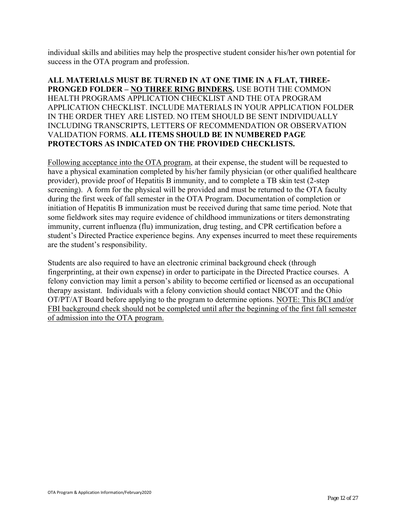individual skills and abilities may help the prospective student consider his/her own potential for success in the OTA program and profession.

#### **ALL MATERIALS MUST BE TURNED IN AT ONE TIME IN A FLAT, THREE-PRONGED FOLDER – NO THREE RING BINDERS.** USE BOTH THE COMMON HEALTH PROGRAMS APPLICATION CHECKLIST AND THE OTA PROGRAM APPLICATION CHECKLIST. INCLUDE MATERIALS IN YOUR APPLICATION FOLDER IN THE ORDER THEY ARE LISTED. NO ITEM SHOULD BE SENT INDIVIDUALLY INCLUDING TRANSCRIPTS, LETTERS OF RECOMMENDATION OR OBSERVATION VALIDATION FORMS. **ALL ITEMS SHOULD BE IN NUMBERED PAGE PROTECTORS AS INDICATED ON THE PROVIDED CHECKLISTS.**

Following acceptance into the OTA program, at their expense, the student will be requested to have a physical examination completed by his/her family physician (or other qualified healthcare provider), provide proof of Hepatitis B immunity, and to complete a TB skin test (2-step screening). A form for the physical will be provided and must be returned to the OTA faculty during the first week of fall semester in the OTA Program. Documentation of completion or initiation of Hepatitis B immunization must be received during that same time period. Note that some fieldwork sites may require evidence of childhood immunizations or titers demonstrating immunity, current influenza (flu) immunization, drug testing, and CPR certification before a student's Directed Practice experience begins. Any expenses incurred to meet these requirements are the student's responsibility.

Students are also required to have an electronic criminal background check (through fingerprinting, at their own expense) in order to participate in the Directed Practice courses. A felony conviction may limit a person's ability to become certified or licensed as an occupational therapy assistant. Individuals with a felony conviction should contact NBCOT and the Ohio OT/PT/AT Board before applying to the program to determine options. NOTE: This BCI and/or FBI background check should not be completed until after the beginning of the first fall semester of admission into the OTA program.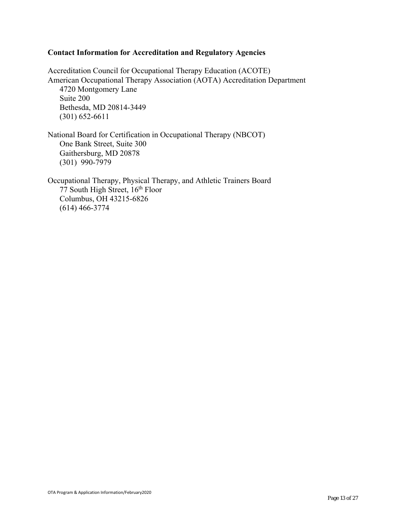#### **Contact Information for Accreditation and Regulatory Agencies**

Accreditation Council for Occupational Therapy Education (ACOTE) American Occupational Therapy Association (AOTA) Accreditation Department 4720 Montgomery Lane Suite 200 Bethesda, MD 20814-3449 (301) 652-6611

National Board for Certification in Occupational Therapy (NBCOT) One Bank Street, Suite 300 Gaithersburg, MD 20878 (301) 990-7979

Occupational Therapy, Physical Therapy, and Athletic Trainers Board  $77$  South High Street,  $16<sup>th</sup>$  Floor Columbus, OH 43215-6826 (614) 466-3774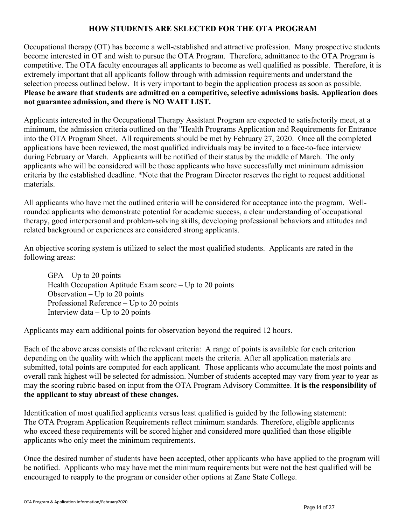#### **HOW STUDENTS ARE SELECTED FOR THE OTA PROGRAM**

Occupational therapy (OT) has become a well-established and attractive profession. Many prospective students become interested in OT and wish to pursue the OTA Program. Therefore, admittance to the OTA Program is competitive. The OTA faculty encourages all applicants to become as well qualified as possible. Therefore, it is extremely important that all applicants follow through with admission requirements and understand the selection process outlined below. It is very important to begin the application process as soon as possible. **Please be aware that students are admitted on a competitive, selective admissions basis. Application does not guarantee admission, and there is NO WAIT LIST.** 

Applicants interested in the Occupational Therapy Assistant Program are expected to satisfactorily meet, at a minimum, the admission criteria outlined on the "Health Programs Application and Requirements for Entrance into the OTA Program Sheet. All requirements should be met by February 27, 2020. Once all the completed applications have been reviewed, the most qualified individuals may be invited to a face-to-face interview during February or March. Applicants will be notified of their status by the middle of March. The only applicants who will be considered will be those applicants who have successfully met minimum admission criteria by the established deadline. \*Note that the Program Director reserves the right to request additional materials.

All applicants who have met the outlined criteria will be considered for acceptance into the program. Wellrounded applicants who demonstrate potential for academic success, a clear understanding of occupational therapy, good interpersonal and problem-solving skills, developing professional behaviors and attitudes and related background or experiences are considered strong applicants.

An objective scoring system is utilized to select the most qualified students. Applicants are rated in the following areas:

 $GPA - Up$  to 20 points Health Occupation Aptitude Exam score – Up to 20 points Observation  $-$  Up to 20 points Professional Reference – Up to 20 points Interview  $data - Up$  to 20 points

Applicants may earn additional points for observation beyond the required 12 hours.

Each of the above areas consists of the relevant criteria: A range of points is available for each criterion depending on the quality with which the applicant meets the criteria. After all application materials are submitted, total points are computed for each applicant. Those applicants who accumulate the most points and overall rank highest will be selected for admission. Number of students accepted may vary from year to year as may the scoring rubric based on input from the OTA Program Advisory Committee. **It is the responsibility of the applicant to stay abreast of these changes.**

Identification of most qualified applicants versus least qualified is guided by the following statement: The OTA Program Application Requirements reflect minimum standards. Therefore, eligible applicants who exceed these requirements will be scored higher and considered more qualified than those eligible applicants who only meet the minimum requirements.

Once the desired number of students have been accepted, other applicants who have applied to the program will be notified. Applicants who may have met the minimum requirements but were not the best qualified will be encouraged to reapply to the program or consider other options at Zane State College.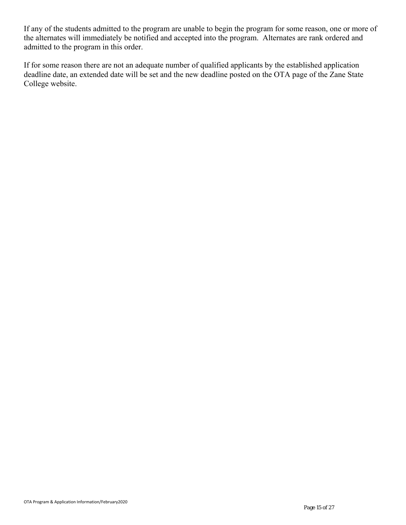If any of the students admitted to the program are unable to begin the program for some reason, one or more of the alternates will immediately be notified and accepted into the program. Alternates are rank ordered and admitted to the program in this order.

If for some reason there are not an adequate number of qualified applicants by the established application deadline date, an extended date will be set and the new deadline posted on the OTA page of the Zane State College website.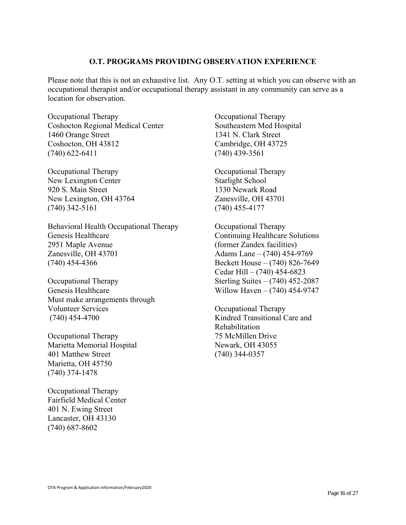#### **O.T. PROGRAMS PROVIDING OBSERVATION EXPERIENCE**

Please note that this is not an exhaustive list. Any O.T. setting at which you can observe with an occupational therapist and/or occupational therapy assistant in any community can serve as a location for observation.

Occupational Therapy Coshocton Regional Medical Center 1460 Orange Street Coshocton, OH 43812 (740) 622-6411

Occupational Therapy New Lexington Center 920 S. Main Street New Lexington, OH 43764 (740) 342-5161

Behavioral Health Occupational Therapy Genesis Healthcare 2951 Maple Avenue Zanesville, OH 43701 (740) 454-4366

Occupational Therapy Genesis Healthcare Must make arrangements through Volunteer Services (740) 454-4700

Occupational Therapy Marietta Memorial Hospital 401 Matthew Street Marietta, OH 45750 (740) 374-1478

Occupational Therapy Fairfield Medical Center 401 N. Ewing Street Lancaster, OH 43130 (740) 687-8602

Occupational Therapy Southeastern Med Hospital 1341 N. Clark Street Cambridge, OH 43725 (740) 439-3561

Occupational Therapy Starlight School 1330 Newark Road Zanesville, OH 43701 (740) 455-4177

Occupational Therapy Continuing Healthcare Solutions (former Zandex facilities) Adams Lane – (740) 454-9769 Beckett House – (740) 826-7649 Cedar Hill – (740) 454-6823 Sterling Suites – (740) 452-2087 Willow Haven – (740) 454-9747

Occupational Therapy Kindred Transitional Care and Rehabilitation 75 McMillen Drive Newark, OH 43055 (740) 344-0357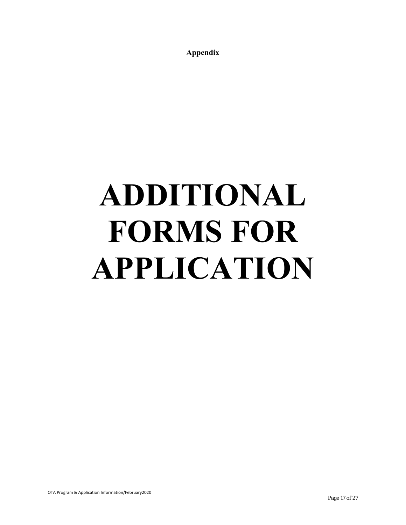**Appendix** 

# **ADDITIONAL FORMS FOR APPLICATION**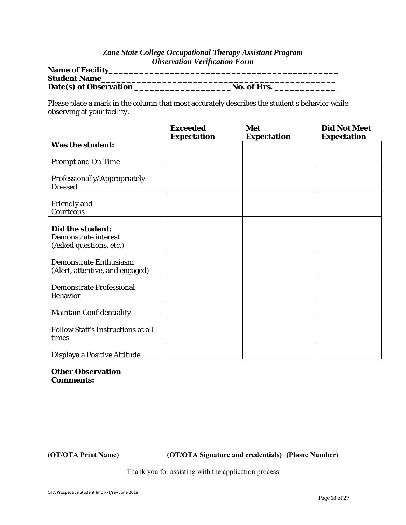#### *Zane State College Occupational Therapy Assistant Program Observation Verification Form*

| <b>Name of Facility</b> |             |
|-------------------------|-------------|
| <b>Student Name</b>     |             |
| Date(s) of Observation  | No. of Hrs. |

Please place a mark in the column that most accurately describes the student's behavior while observing at your facility.

|                                                                     | <b>Exceeded</b><br><b>Expectation</b> | Met<br><b>Expectation</b> | <b>Did Not Meet</b><br><b>Expectation</b> |
|---------------------------------------------------------------------|---------------------------------------|---------------------------|-------------------------------------------|
| <b>Was the student:</b>                                             |                                       |                           |                                           |
| <b>Prompt and On Time</b>                                           |                                       |                           |                                           |
| Professionally/Appropriately<br><b>Dressed</b>                      |                                       |                           |                                           |
| <b>Friendly and</b><br>Courteous                                    |                                       |                           |                                           |
| Did the student:<br>Demonstrate interest<br>(Asked questions, etc.) |                                       |                           |                                           |
| Demonstrate Enthusiasm<br>(Alert, attentive, and engaged)           |                                       |                           |                                           |
| <b>Demonstrate Professional</b><br><b>Behavior</b>                  |                                       |                           |                                           |
| <b>Maintain Confidentiality</b>                                     |                                       |                           |                                           |
| <b>Follow Staff's Instructions at all</b><br>times                  |                                       |                           |                                           |
| Displaya a Positive Attitude                                        |                                       |                           |                                           |

**Other Observation Comments:**

**(OT/OTA Print Name) (OT/OTA Signature and credentials) (Phone Number)** 

Thank you for assisting with the application process

 $\mathcal{L}_\text{max} = \mathcal{L}_\text{max} = \mathcal{L}_\text{max} = \mathcal{L}_\text{max} = \mathcal{L}_\text{max} = \mathcal{L}_\text{max} = \mathcal{L}_\text{max} = \mathcal{L}_\text{max} = \mathcal{L}_\text{max} = \mathcal{L}_\text{max} = \mathcal{L}_\text{max} = \mathcal{L}_\text{max} = \mathcal{L}_\text{max} = \mathcal{L}_\text{max} = \mathcal{L}_\text{max} = \mathcal{L}_\text{max} = \mathcal{L}_\text{max} = \mathcal{L}_\text{max} = \mathcal{$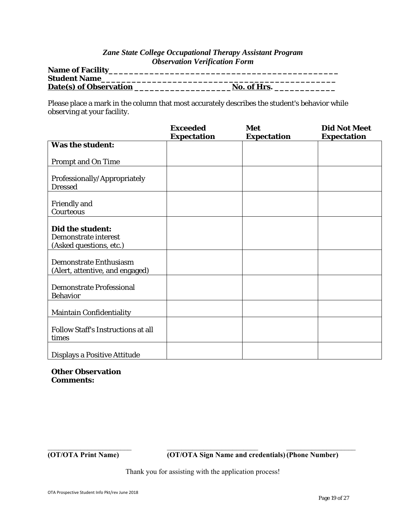#### *Zane State College Occupational Therapy Assistant Program Observation Verification Form*

| <b>Name of Facility</b> |             |
|-------------------------|-------------|
| <b>Student Name</b>     |             |
| Date(s) of Observation  | No. of Hrs. |

Please place a mark in the column that most accurately describes the student's behavior while observing at your facility.

|                                                                     | <b>Exceeded</b><br><b>Expectation</b> | Met<br><b>Expectation</b> | <b>Did Not Meet</b><br><b>Expectation</b> |
|---------------------------------------------------------------------|---------------------------------------|---------------------------|-------------------------------------------|
| <b>Was the student:</b>                                             |                                       |                           |                                           |
| <b>Prompt and On Time</b>                                           |                                       |                           |                                           |
| Professionally/Appropriately<br><b>Dressed</b>                      |                                       |                           |                                           |
| <b>Friendly and</b><br>Courteous                                    |                                       |                           |                                           |
| Did the student:<br>Demonstrate interest<br>(Asked questions, etc.) |                                       |                           |                                           |
| Demonstrate Enthusiasm<br>(Alert, attentive, and engaged)           |                                       |                           |                                           |
| <b>Demonstrate Professional</b><br><b>Behavior</b>                  |                                       |                           |                                           |
| <b>Maintain Confidentiality</b>                                     |                                       |                           |                                           |
| <b>Follow Staff's Instructions at all</b><br>times                  |                                       |                           |                                           |
| Displays a Positive Attitude                                        |                                       |                           |                                           |

**Other Observation Comments:**

**(OT/OTA Print Name) (OT/OTA Sign Name and credentials) (Phone Number)** 

Thank you for assisting with the application process!

 $\mathcal{L}_\text{max} = \mathcal{L}_\text{max} = \mathcal{L}_\text{max} = \mathcal{L}_\text{max} = \mathcal{L}_\text{max} = \mathcal{L}_\text{max} = \mathcal{L}_\text{max} = \mathcal{L}_\text{max} = \mathcal{L}_\text{max} = \mathcal{L}_\text{max} = \mathcal{L}_\text{max} = \mathcal{L}_\text{max} = \mathcal{L}_\text{max} = \mathcal{L}_\text{max} = \mathcal{L}_\text{max} = \mathcal{L}_\text{max} = \mathcal{L}_\text{max} = \mathcal{L}_\text{max} = \mathcal{$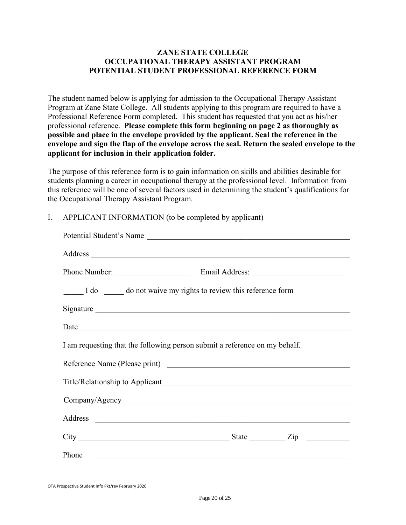#### **ZANE STATE COLLEGE OCCUPATIONAL THERAPY ASSISTANT PROGRAM POTENTIAL STUDENT PROFESSIONAL REFERENCE FORM**

The student named below is applying for admission to the Occupational Therapy Assistant Program at Zane State College. All students applying to this program are required to have a Professional Reference Form completed. This student has requested that you act as his/her professional reference. **Please complete this form beginning on page 2 as thoroughly as possible and place in the envelope provided by the applicant. Seal the reference in the envelope and sign the flap of the envelope across the seal. Return the sealed envelope to the applicant for inclusion in their application folder.** 

The purpose of this reference form is to gain information on skills and abilities desirable for students planning a career in occupational therapy at the professional level. Information from this reference will be one of several factors used in determining the student's qualifications for the Occupational Therapy Assistant Program.

#### I. APPLICANT INFORMATION (to be completed by applicant)

| I do ______ do not waive my rights to review this reference form           |
|----------------------------------------------------------------------------|
|                                                                            |
|                                                                            |
|                                                                            |
| I am requesting that the following person submit a reference on my behalf. |
|                                                                            |
|                                                                            |
|                                                                            |
|                                                                            |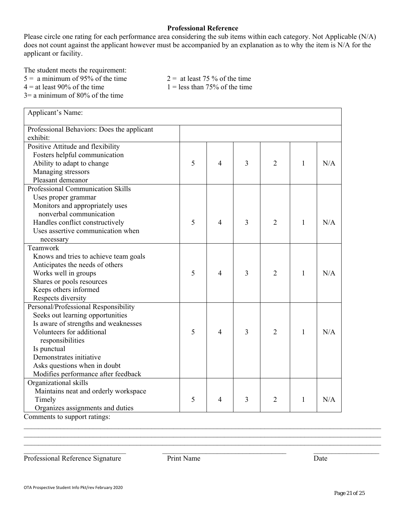#### **Professional Reference**

Please circle one rating for each performance area considering the sub items within each category. Not Applicable (N/A) does not count against the applicant however must be accompanied by an explanation as to why the item is N/A for the applicant or facility.

The student meets the requirement:

 $5 =$  a minimum of 95% of the time  $2 =$  at least 75 % of the time

 $4 =$  at least 90% of the time 1 = less than 75% of the time

3= a minimum of 80% of the time

| Applicant's Name:                          |   |   |   |                |              |     |
|--------------------------------------------|---|---|---|----------------|--------------|-----|
| Professional Behaviors: Does the applicant |   |   |   |                |              |     |
| exhibit:                                   |   |   |   |                |              |     |
| Positive Attitude and flexibility          |   |   |   |                |              |     |
| Fosters helpful communication              |   |   |   |                |              |     |
| Ability to adapt to change                 | 5 | 4 | 3 | $\overline{2}$ | 1            | N/A |
| Managing stressors                         |   |   |   |                |              |     |
| Pleasant demeanor                          |   |   |   |                |              |     |
| Professional Communication Skills          |   |   |   |                |              |     |
| Uses proper grammar                        |   |   |   |                |              |     |
| Monitors and appropriately uses            |   |   |   |                |              |     |
| nonverbal communication                    |   |   |   |                |              |     |
| Handles conflict constructively            | 5 | 4 | 3 | $\overline{2}$ | 1            | N/A |
| Uses assertive communication when          |   |   |   |                |              |     |
| necessary                                  |   |   |   |                |              |     |
| Teamwork                                   |   |   |   |                |              |     |
| Knows and tries to achieve team goals      |   |   |   |                |              |     |
| Anticipates the needs of others            |   |   |   |                |              |     |
| Works well in groups                       | 5 | 4 | 3 | $\overline{2}$ | $\mathbf{1}$ | N/A |
| Shares or pools resources                  |   |   |   |                |              |     |
| Keeps others informed                      |   |   |   |                |              |     |
| Respects diversity                         |   |   |   |                |              |     |
| Personal/Professional Responsibility       |   |   |   |                |              |     |
| Seeks out learning opportunities           |   |   |   |                |              |     |
| Is aware of strengths and weaknesses       |   |   |   |                |              |     |
| Volunteers for additional                  | 5 | 4 | 3 | $\overline{2}$ | 1            | N/A |
| responsibilities                           |   |   |   |                |              |     |
| Is punctual                                |   |   |   |                |              |     |
| Demonstrates initiative                    |   |   |   |                |              |     |
| Asks questions when in doubt               |   |   |   |                |              |     |
| Modifies performance after feedback        |   |   |   |                |              |     |
| Organizational skills                      |   |   |   |                |              |     |
| Maintains neat and orderly workspace       |   |   |   |                |              |     |
| Timely                                     | 5 | 4 | 3 | 2              | $\mathbf{1}$ | N/A |
| Organizes assignments and duties           |   |   |   |                |              |     |
| Comments to support ratings:               |   |   |   |                |              |     |

Professional Reference Signature Print Name Date

 $\mathcal{L}_\mathcal{L} = \mathcal{L}_\mathcal{L} = \mathcal{L}_\mathcal{L} = \mathcal{L}_\mathcal{L} = \mathcal{L}_\mathcal{L} = \mathcal{L}_\mathcal{L} = \mathcal{L}_\mathcal{L} = \mathcal{L}_\mathcal{L} = \mathcal{L}_\mathcal{L} = \mathcal{L}_\mathcal{L} = \mathcal{L}_\mathcal{L} = \mathcal{L}_\mathcal{L} = \mathcal{L}_\mathcal{L} = \mathcal{L}_\mathcal{L} = \mathcal{L}_\mathcal{L} = \mathcal{L}_\mathcal{L} = \mathcal{L}_\mathcal{L}$ 

 $\mathcal{L}_\mathcal{L} = \mathcal{L}_\mathcal{L} = \mathcal{L}_\mathcal{L} = \mathcal{L}_\mathcal{L} = \mathcal{L}_\mathcal{L} = \mathcal{L}_\mathcal{L} = \mathcal{L}_\mathcal{L} = \mathcal{L}_\mathcal{L} = \mathcal{L}_\mathcal{L} = \mathcal{L}_\mathcal{L} = \mathcal{L}_\mathcal{L} = \mathcal{L}_\mathcal{L} = \mathcal{L}_\mathcal{L} = \mathcal{L}_\mathcal{L} = \mathcal{L}_\mathcal{L} = \mathcal{L}_\mathcal{L} = \mathcal{L}_\mathcal{L}$ \_\_\_\_\_\_\_\_\_\_\_\_\_\_\_\_\_\_\_\_\_\_\_\_\_\_\_\_ \_\_\_\_\_\_\_\_\_\_\_\_\_\_\_\_\_\_\_\_\_\_\_\_\_\_\_\_\_\_\_\_\_\_ \_\_\_\_\_\_\_\_\_\_\_\_\_\_\_\_\_\_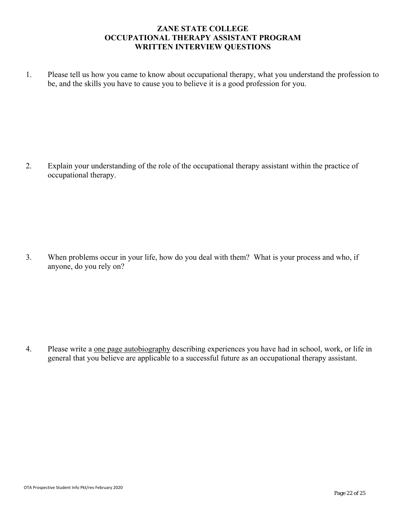#### **ZANE STATE COLLEGE OCCUPATIONAL THERAPY ASSISTANT PROGRAM WRITTEN INTERVIEW QUESTIONS**

 1. Please tell us how you came to know about occupational therapy, what you understand the profession to be, and the skills you have to cause you to believe it is a good profession for you.

 2. Explain your understanding of the role of the occupational therapy assistant within the practice of occupational therapy.

 3. When problems occur in your life, how do you deal with them? What is your process and who, if anyone, do you rely on?

4. Please write a <u>one page autobiography</u> describing experiences you have had in school, work, or life in general that you believe are applicable to a successful future as an occupational therapy assistant.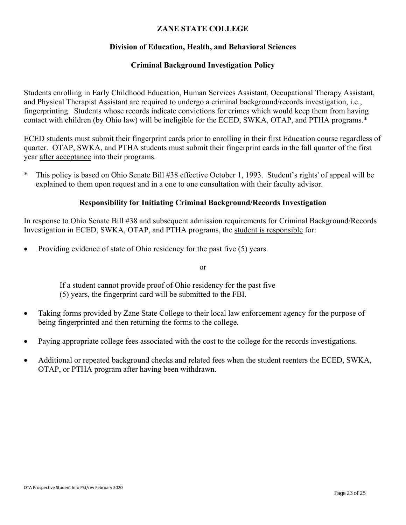#### **ZANE STATE COLLEGE**

#### **Division of Education, Health, and Behavioral Sciences**

#### **Criminal Background Investigation Policy**

Students enrolling in Early Childhood Education, Human Services Assistant, Occupational Therapy Assistant, and Physical Therapist Assistant are required to undergo a criminal background/records investigation, i.e., fingerprinting. Students whose records indicate convictions for crimes which would keep them from having contact with children (by Ohio law) will be ineligible for the ECED, SWKA, OTAP, and PTHA programs.\*

ECED students must submit their fingerprint cards prior to enrolling in their first Education course regardless of quarter. OTAP, SWKA, and PTHA students must submit their fingerprint cards in the fall quarter of the first year after acceptance into their programs.

\* This policy is based on Ohio Senate Bill #38 effective October 1, 1993. Student's rights' of appeal will be explained to them upon request and in a one to one consultation with their faculty advisor.

#### **Responsibility for Initiating Criminal Background/Records Investigation**

In response to Ohio Senate Bill #38 and subsequent admission requirements for Criminal Background/Records Investigation in ECED, SWKA, OTAP, and PTHA programs, the student is responsible for:

• Providing evidence of state of Ohio residency for the past five (5) years.

or

 If a student cannot provide proof of Ohio residency for the past five (5) years, the fingerprint card will be submitted to the FBI.

- Taking forms provided by Zane State College to their local law enforcement agency for the purpose of being fingerprinted and then returning the forms to the college.
- Paying appropriate college fees associated with the cost to the college for the records investigations.
- Additional or repeated background checks and related fees when the student reenters the ECED, SWKA, OTAP, or PTHA program after having been withdrawn.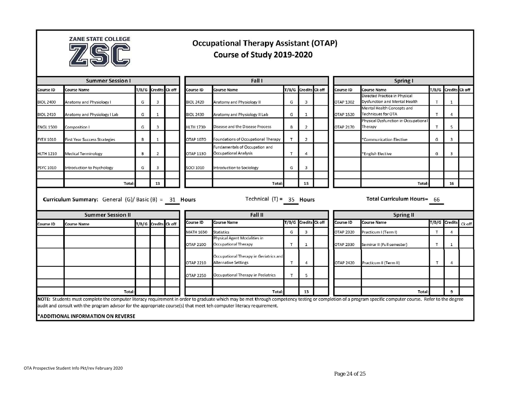

## **Occupational Therapy Assistant (OTAP)** Course of Study 2019-2020

| <b>Summer Session I</b>                                                           |                                                                                                                                                                    |   |                      | Fall I |                                       |                                                                                                                                                                                                          |   |                      | Spring I |                                                  |                                                                |   |                      |  |
|-----------------------------------------------------------------------------------|--------------------------------------------------------------------------------------------------------------------------------------------------------------------|---|----------------------|--------|---------------------------------------|----------------------------------------------------------------------------------------------------------------------------------------------------------------------------------------------------------|---|----------------------|----------|--------------------------------------------------|----------------------------------------------------------------|---|----------------------|--|
| Course ID                                                                         | <b>Course Name</b>                                                                                                                                                 |   | T/B/G Credits Ck off |        | Course ID                             | <b>Course Name</b>                                                                                                                                                                                       |   | T/B/G Credits Ck off |          | Course ID                                        | <b>Course Name</b>                                             |   | T/B/G Credits Ck off |  |
| <b>BIOL 2400</b>                                                                  | Anatomy and Physiology I                                                                                                                                           | G | 3                    |        | <b>BIOL 2420</b>                      | Anatomy and Physiology II                                                                                                                                                                                | G | 3                    |          | OTAP 1302                                        | Directed Practice in Physical<br>Dysfunction and Mental Health | T | $\mathbf{1}$         |  |
| <b>BIOL 2410</b>                                                                  | Anatomy and Physiology I Lab                                                                                                                                       | G | $\mathbf{1}$         |        | <b>BIOL 2430</b>                      | Anatomy and Physiology II Lab                                                                                                                                                                            | G | $\mathbf{1}$         |          | <b>OTAP 1520</b>                                 | Mental Health Concepts and<br>Techniques for OTA               | T |                      |  |
| <b>ENGL 1500</b>                                                                  | Composition I                                                                                                                                                      | G | 3                    |        | <b>HLTH 1730</b>                      | Disease and the Disease Process                                                                                                                                                                          | B | $\overline{2}$       |          | <b>OTAP 2170</b>                                 | Physical Dysfunction in Occupational<br>Therapy                | T | 5                    |  |
| <b>FYEX 1010</b>                                                                  | <b>First Year Success Strategies</b>                                                                                                                               | B | 1                    |        | OTAP 1070                             | Foundations of Occupational Therapy                                                                                                                                                                      | T | $\overline{2}$       |          |                                                  | *Communication Elective                                        | G | 3                    |  |
| <b>HLTH 1210</b>                                                                  | <b>Medical Terminology</b>                                                                                                                                         | B | $\overline{2}$       |        | OTAP 1130                             | Fundamentals of Occupation and<br>Occupational Analysis                                                                                                                                                  | Т | $\overline{4}$       |          |                                                  | *English Elective                                              | G | 3                    |  |
| <b>PSYC 1010</b>                                                                  | Introduction to Psychology                                                                                                                                         | G | 3                    |        | <b>SOCI 1010</b>                      | Introduction to Sociology                                                                                                                                                                                | G | $\overline{3}$       |          |                                                  |                                                                |   |                      |  |
|                                                                                   | <b>Total</b>                                                                                                                                                       |   | 13                   |        |                                       | Total                                                                                                                                                                                                    |   | 15                   |          |                                                  | Total                                                          |   | 16                   |  |
| Curriculum Summary: General (G)/ Basic (B) = 31 Hours<br><b>Summer Session II</b> |                                                                                                                                                                    |   |                      |        | Technical $(T) = 35$ Hours<br>Fall II |                                                                                                                                                                                                          |   |                      |          | Total Curriculum Hours= 66<br><b>Spring II</b>   |                                                                |   |                      |  |
| Course ID                                                                         | <b>Course Name</b>                                                                                                                                                 |   | T/B/G Credits Ck off |        | Course ID                             | <b>Course Name</b>                                                                                                                                                                                       |   | T/B/G Credits Ck off |          | <b>Course Name</b><br>T/B/G Credits<br>Course ID |                                                                |   | Ck off               |  |
|                                                                                   |                                                                                                                                                                    |   |                      |        | <b>MATH 1650</b>                      | <b>Statistics</b>                                                                                                                                                                                        | G | $\overline{3}$       |          | <b>OTAP 2320</b>                                 | Practicum I (Term I)                                           | Т |                      |  |
|                                                                                   |                                                                                                                                                                    |   |                      |        | <b>OTAP 2100</b>                      | Physical Agent Modalities in<br>Occupational Therapy                                                                                                                                                     | T | $\mathbf{1}$         |          | <b>OTAP 2330</b>                                 | Seminar II (Full semester)                                     | T | 1                    |  |
|                                                                                   |                                                                                                                                                                    |   |                      |        | OTAP 2210                             | Occupational Therapy in Geriatrics and<br><b>Alternative Settings</b>                                                                                                                                    | T | $\overline{4}$       |          | <b>OTAP 2420</b>                                 | Practicum II (Term II)                                         | T | 4                    |  |
|                                                                                   |                                                                                                                                                                    |   |                      |        | <b>OTAP 2250</b>                      | Occupational Therapy in Pediatrics                                                                                                                                                                       | T | 5                    |          |                                                  |                                                                |   |                      |  |
|                                                                                   |                                                                                                                                                                    |   |                      |        |                                       |                                                                                                                                                                                                          |   |                      |          |                                                  |                                                                |   |                      |  |
|                                                                                   | <b>Total</b>                                                                                                                                                       |   |                      |        |                                       | Total:                                                                                                                                                                                                   |   | 13                   |          |                                                  | Total                                                          |   | $\mathbf{9}$         |  |
|                                                                                   | audit and consult with the program advisor for the appropriate course(s) that meet teh computer literacy requirement.<br><b>*ADDITIONAL INFORMATION ON REVERSE</b> |   |                      |        |                                       | NOTE: Students must complete the computer literacy requirement in order to graduate which may be met through competency testing or completion of a program specific computer course. Refer to the degree |   |                      |          |                                                  |                                                                |   |                      |  |